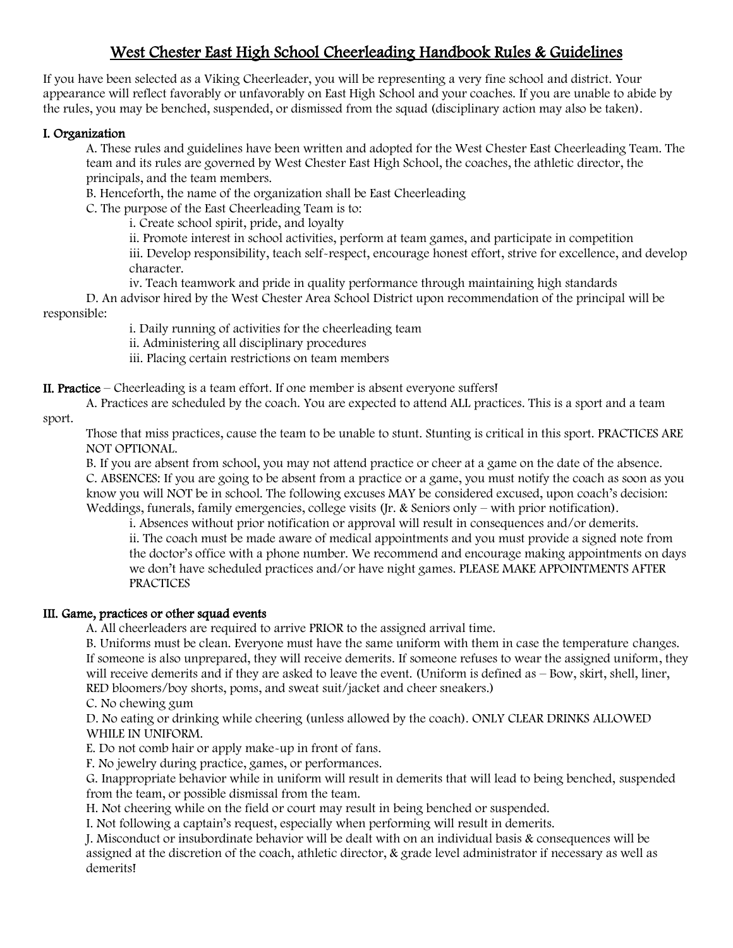# West Chester East High School Cheerleading Handbook Rules & Guidelines

If you have been selected as a Viking Cheerleader, you will be representing a very fine school and district. Your appearance will reflect favorably or unfavorably on East High School and your coaches. If you are unable to abide by the rules, you may be benched, suspended, or dismissed from the squad (disciplinary action may also be taken).

#### I. Organization

A. These rules and guidelines have been written and adopted for the West Chester East Cheerleading Team. The team and its rules are governed by West Chester East High School, the coaches, the athletic director, the principals, and the team members.

B. Henceforth, the name of the organization shall be East Cheerleading

C. The purpose of the East Cheerleading Team is to:

i. Create school spirit, pride, and loyalty

ii. Promote interest in school activities, perform at team games, and participate in competition

iii. Develop responsibility, teach self-respect, encourage honest effort, strive for excellence, and develop character.

iv. Teach teamwork and pride in quality performance through maintaining high standards

D. An advisor hired by the West Chester Area School District upon recommendation of the principal will be responsible:

i. Daily running of activities for the cheerleading team

ii. Administering all disciplinary procedures

iii. Placing certain restrictions on team members

II. Practice – Cheerleading is a team effort. If one member is absent everyone suffers!

A. Practices are scheduled by the coach. You are expected to attend ALL practices. This is a sport and a team sport.

Those that miss practices, cause the team to be unable to stunt. Stunting is critical in this sport. PRACTICES ARE NOT OPTIONAL.

B. If you are absent from school, you may not attend practice or cheer at a game on the date of the absence. C. ABSENCES: If you are going to be absent from a practice or a game, you must notify the coach as soon as you know you will NOT be in school. The following excuses MAY be considered excused, upon coach's decision: Weddings, funerals, family emergencies, college visits (Jr. & Seniors only – with prior notification).

i. Absences without prior notification or approval will result in consequences and/or demerits. ii. The coach must be made aware of medical appointments and you must provide a signed note from the doctor's office with a phone number. We recommend and encourage making appointments on days we don't have scheduled practices and/or have night games. PLEASE MAKE APPOINTMENTS AFTER **PRACTICES** 

# III. Game, practices or other squad events

A. All cheerleaders are required to arrive PRIOR to the assigned arrival time.

B. Uniforms must be clean. Everyone must have the same uniform with them in case the temperature changes. If someone is also unprepared, they will receive demerits. If someone refuses to wear the assigned uniform, they will receive demerits and if they are asked to leave the event. (Uniform is defined as – Bow, skirt, shell, liner, RED bloomers/boy shorts, poms, and sweat suit/jacket and cheer sneakers.)

C. No chewing gum

D. No eating or drinking while cheering (unless allowed by the coach). ONLY CLEAR DRINKS ALLOWED WHILE IN UNIFORM.

E. Do not comb hair or apply make-up in front of fans.

F. No jewelry during practice, games, or performances.

G. Inappropriate behavior while in uniform will result in demerits that will lead to being benched, suspended from the team, or possible dismissal from the team.

H. Not cheering while on the field or court may result in being benched or suspended.

I. Not following a captain's request, especially when performing will result in demerits.

J. Misconduct or insubordinate behavior will be dealt with on an individual basis & consequences will be assigned at the discretion of the coach, athletic director, & grade level administrator if necessary as well as demerits!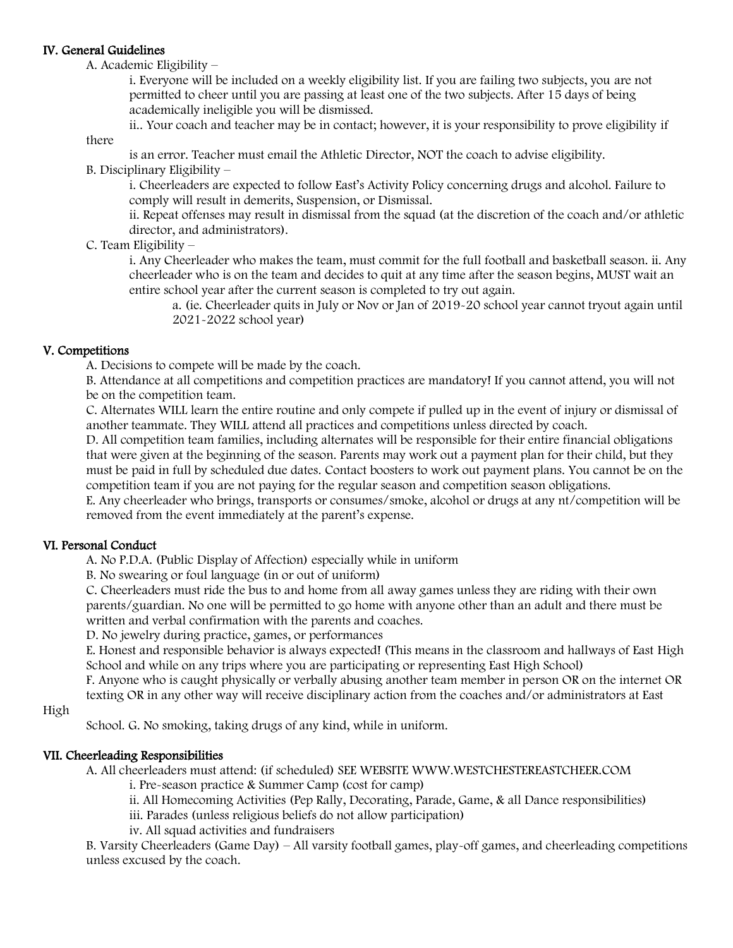#### IV. General Guidelines

there

A. Academic Eligibility –

i. Everyone will be included on a weekly eligibility list. If you are failing two subjects, you are not permitted to cheer until you are passing at least one of the two subjects. After 15 days of being academically ineligible you will be dismissed.

ii.. Your coach and teacher may be in contact; however, it is your responsibility to prove eligibility if

is an error. Teacher must email the Athletic Director, NOT the coach to advise eligibility.

# B. Disciplinary Eligibility –

i. Cheerleaders are expected to follow East's Activity Policy concerning drugs and alcohol. Failure to comply will result in demerits, Suspension, or Dismissal.

ii. Repeat offenses may result in dismissal from the squad (at the discretion of the coach and/or athletic director, and administrators).

# C. Team Eligibility –

i. Any Cheerleader who makes the team, must commit for the full football and basketball season. ii. Any cheerleader who is on the team and decides to quit at any time after the season begins, MUST wait an entire school year after the current season is completed to try out again.

a. (ie. Cheerleader quits in July or Nov or Jan of 2019-20 school year cannot tryout again until 2021-2022 school year)

# V. Competitions

A. Decisions to compete will be made by the coach.

B. Attendance at all competitions and competition practices are mandatory! If you cannot attend, you will not be on the competition team.

C. Alternates WILL learn the entire routine and only compete if pulled up in the event of injury or dismissal of another teammate. They WILL attend all practices and competitions unless directed by coach.

D. All competition team families, including alternates will be responsible for their entire financial obligations that were given at the beginning of the season. Parents may work out a payment plan for their child, but they must be paid in full by scheduled due dates. Contact boosters to work out payment plans. You cannot be on the competition team if you are not paying for the regular season and competition season obligations.

E. Any cheerleader who brings, transports or consumes/smoke, alcohol or drugs at any nt/competition will be removed from the event immediately at the parent's expense.

# VI. Personal Conduct

A. No P.D.A. (Public Display of Affection) especially while in uniform

B. No swearing or foul language (in or out of uniform)

C. Cheerleaders must ride the bus to and home from all away games unless they are riding with their own parents/guardian. No one will be permitted to go home with anyone other than an adult and there must be written and verbal confirmation with the parents and coaches.

D. No jewelry during practice, games, or performances

E. Honest and responsible behavior is always expected! (This means in the classroom and hallways of East High School and while on any trips where you are participating or representing East High School)

F. Anyone who is caught physically or verbally abusing another team member in person OR on the internet OR texting OR in any other way will receive disciplinary action from the coaches and/or administrators at East

#### High

School. G. No smoking, taking drugs of any kind, while in uniform.

# VII. Cheerleading Responsibilities

A. All cheerleaders must attend: (if scheduled) SEE WEBSITE WWW.WESTCHESTEREASTCHEER.COM

i. Pre-season practice & Summer Camp (cost for camp)

ii. All Homecoming Activities (Pep Rally, Decorating, Parade, Game, & all Dance responsibilities)

iii. Parades (unless religious beliefs do not allow participation)

iv. All squad activities and fundraisers

B. Varsity Cheerleaders (Game Day) – All varsity football games, play-off games, and cheerleading competitions unless excused by the coach.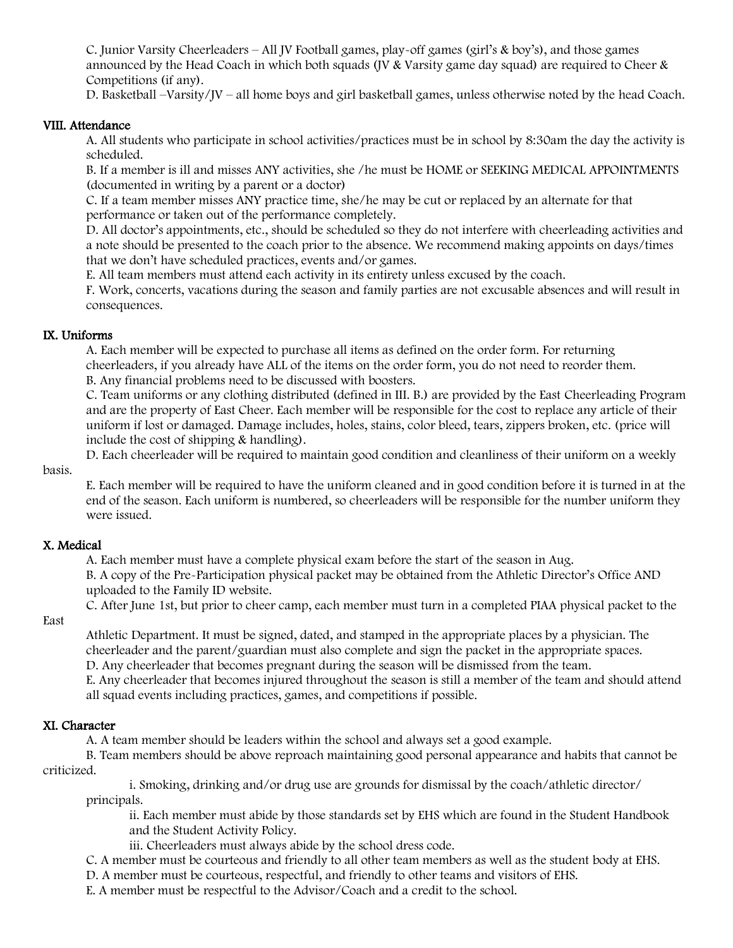C. Junior Varsity Cheerleaders – All JV Football games, play-off games (girl's & boy's), and those games announced by the Head Coach in which both squads (JV & Varsity game day squad) are required to Cheer  $\&$ Competitions (if any).

D. Basketball –Varsity/JV – all home boys and girl basketball games, unless otherwise noted by the head Coach.

#### VIII. Attendance

A. All students who participate in school activities/practices must be in school by 8:30am the day the activity is scheduled.

B. If a member is ill and misses ANY activities, she /he must be HOME or SEEKING MEDICAL APPOINTMENTS (documented in writing by a parent or a doctor)

C. If a team member misses ANY practice time, she/he may be cut or replaced by an alternate for that performance or taken out of the performance completely.

D. All doctor's appointments, etc., should be scheduled so they do not interfere with cheerleading activities and a note should be presented to the coach prior to the absence. We recommend making appoints on days/times that we don't have scheduled practices, events and/or games.

E. All team members must attend each activity in its entirety unless excused by the coach.

F. Work, concerts, vacations during the season and family parties are not excusable absences and will result in consequences.

#### IX. Uniforms

A. Each member will be expected to purchase all items as defined on the order form. For returning cheerleaders, if you already have ALL of the items on the order form, you do not need to reorder them. B. Any financial problems need to be discussed with boosters.

C. Team uniforms or any clothing distributed (defined in III. B.) are provided by the East Cheerleading Program and are the property of East Cheer. Each member will be responsible for the cost to replace any article of their uniform if lost or damaged. Damage includes, holes, stains, color bleed, tears, zippers broken, etc. (price will include the cost of shipping & handling).

D. Each cheerleader will be required to maintain good condition and cleanliness of their uniform on a weekly

basis.

E. Each member will be required to have the uniform cleaned and in good condition before it is turned in at the end of the season. Each uniform is numbered, so cheerleaders will be responsible for the number uniform they were issued.

# X. Medical

A. Each member must have a complete physical exam before the start of the season in Aug.

B. A copy of the Pre-Participation physical packet may be obtained from the Athletic Director's Office AND uploaded to the Family ID website.

C. After June 1st, but prior to cheer camp, each member must turn in a completed PIAA physical packet to the

East

Athletic Department. It must be signed, dated, and stamped in the appropriate places by a physician. The cheerleader and the parent/guardian must also complete and sign the packet in the appropriate spaces. D. Any cheerleader that becomes pregnant during the season will be dismissed from the team.

E. Any cheerleader that becomes injured throughout the season is still a member of the team and should attend all squad events including practices, games, and competitions if possible.

# XI. Character

A. A team member should be leaders within the school and always set a good example.

B. Team members should be above reproach maintaining good personal appearance and habits that cannot be criticized.

i. Smoking, drinking and/or drug use are grounds for dismissal by the coach/athletic director/ principals.

ii. Each member must abide by those standards set by EHS which are found in the Student Handbook and the Student Activity Policy.

iii. Cheerleaders must always abide by the school dress code.

C. A member must be courteous and friendly to all other team members as well as the student body at EHS.

D. A member must be courteous, respectful, and friendly to other teams and visitors of EHS.

E. A member must be respectful to the Advisor/Coach and a credit to the school.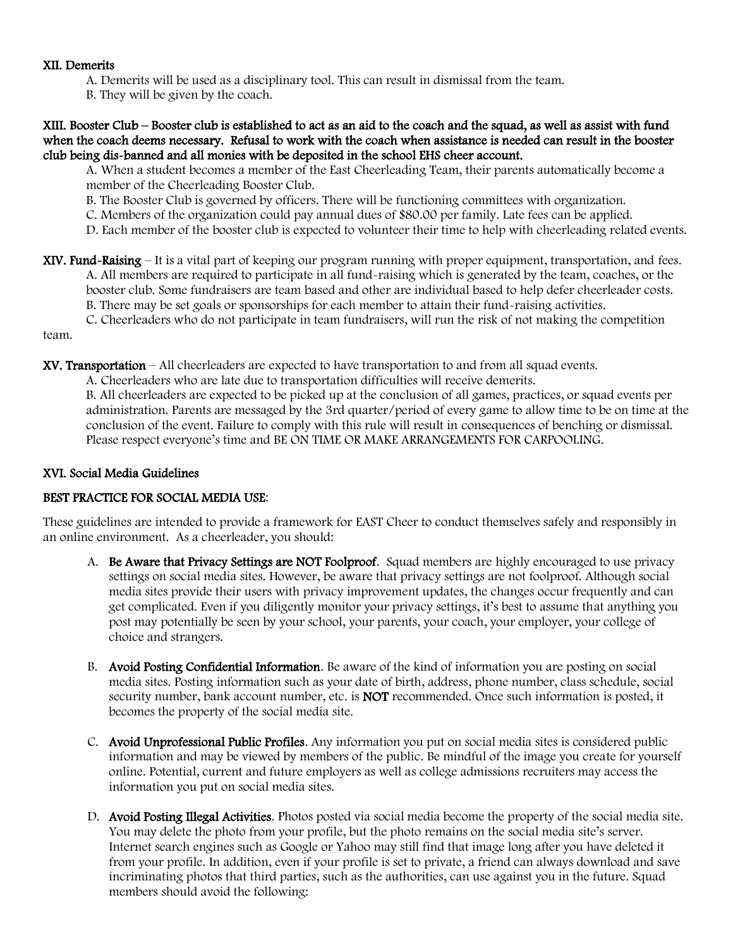#### XII. Demerits

- A. Demerits will be used as a disciplinary tool. This can result in dismissal from the team.
- B. They will be given by the coach.

XIII. Booster Club – Booster club is established to act as an aid to the coach and the squad, as well as assist with fund when the coach deems necessary. Refusal to work with the coach when assistance is needed can result in the booster club being dis-banned and all monies with be deposited in the school EHS cheer account.

A. When a student becomes a member of the East Cheerleading Team, their parents automatically become a member of the Cheerleading Booster Club.

- B. The Booster Club is governed by officers. There will be functioning committees with organization.
- C. Members of the organization could pay annual dues of \$80.00 per family. Late fees can be applied.
- D. Each member of the booster club is expected to volunteer their time to help with cheerleading related events.
- XIV. Fund-Raising It is a vital part of keeping our program running with proper equipment, transportation, and fees. A. All members are required to participate in all fund-raising which is generated by the team, coaches, or the booster club. Some fundraisers are team based and other are individual based to help defer cheerleader costs. B. There may be set goals or sponsorships for each member to attain their fund-raising activities.
	- C. Cheerleaders who do not participate in team fundraisers, will run the risk of not making the competition

team.

- XV. Transportation All cheerleaders are expected to have transportation to and from all squad events.
	- A. Cheerleaders who are late due to transportation difficulties will receive demerits.

B. All cheerleaders are expected to be picked up at the conclusion of all games, practices, or squad events per administration. Parents are messaged by the 3rd quarter/period of every game to allow time to be on time at the conclusion of the event. Failure to comply with this rule will result in consequences of benching or dismissal. Please respect everyone's time and BE ON TIME OR MAKE ARRANGEMENTS FOR CARPOOLING.

#### XVI. Social Media Guidelines

# BEST PRACTICE FOR SOCIAL MEDIA USE:

These guidelines are intended to provide a framework for EAST Cheer to conduct themselves safely and responsibly in an online environment. As a cheerleader, you should:

- A. Be Aware that Privacy Settings are NOT Foolproof. Squad members are highly encouraged to use privacy settings on social media sites. However, be aware that privacy settings are not foolproof. Although social media sites provide their users with privacy improvement updates, the changes occur frequently and can get complicated. Even if you diligently monitor your privacy settings, it's best to assume that anything you post may potentially be seen by your school, your parents, your coach, your employer, your college of choice and strangers.
- B. Avoid Posting Confidential Information. Be aware of the kind of information you are posting on social media sites. Posting information such as your date of birth, address, phone number, class schedule, social security number, bank account number, etc. is **NOT** recommended. Once such information is posted, it becomes the property of the social media site.
- C. Avoid Unprofessional Public Profiles. Any information you put on social media sites is considered public information and may be viewed by members of the public. Be mindful of the image you create for yourself online. Potential, current and future employers as well as college admissions recruiters may access the information you put on social media sites.
- D. Avoid Posting Illegal Activities. Photos posted via social media become the property of the social media site. You may delete the photo from your profile, but the photo remains on the social media site's server. Internet search engines such as Google or Yahoo may still find that image long after you have deleted it from your profile. In addition, even if your profile is set to private, a friend can always download and save incriminating photos that third parties, such as the authorities, can use against you in the future. Squad members should avoid the following: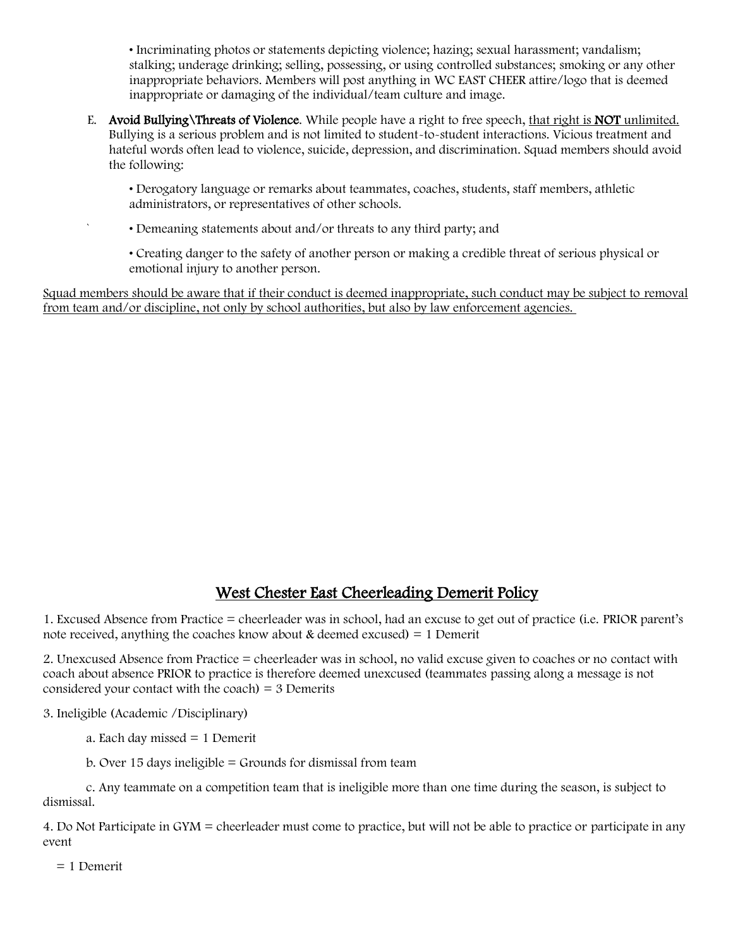• Incriminating photos or statements depicting violence; hazing; sexual harassment; vandalism; stalking; underage drinking; selling, possessing, or using controlled substances; smoking or any other inappropriate behaviors. Members will post anything in WC EAST CHEER attire/logo that is deemed inappropriate or damaging of the individual/team culture and image.

E. Avoid Bullying\Threats of Violence. While people have a right to free speech, that right is NOT unlimited. Bullying is a serious problem and is not limited to student-to-student interactions. Vicious treatment and hateful words often lead to violence, suicide, depression, and discrimination. Squad members should avoid the following:

• Derogatory language or remarks about teammates, coaches, students, staff members, athletic administrators, or representatives of other schools.

` • Demeaning statements about and/or threats to any third party; and

• Creating danger to the safety of another person or making a credible threat of serious physical or emotional injury to another person.

Squad members should be aware that if their conduct is deemed inappropriate, such conduct may be subject to removal from team and/or discipline, not only by school authorities, but also by law enforcement agencies.

# West Chester East Cheerleading Demerit Policy

1. Excused Absence from Practice = cheerleader was in school, had an excuse to get out of practice (i.e. PRIOR parent's note received, anything the coaches know about  $\&$  deemed excused) = 1 Demerit

2. Unexcused Absence from Practice = cheerleader was in school, no valid excuse given to coaches or no contact with coach about absence PRIOR to practice is therefore deemed unexcused (teammates passing along a message is not considered your contact with the coach)  $=$  3 Demerits

3. Ineligible (Academic /Disciplinary)

a. Each day missed = 1 Demerit

b. Over 15 days ineligible  $=$  Grounds for dismissal from team

c. Any teammate on a competition team that is ineligible more than one time during the season, is subject to dismissal.

4. Do Not Participate in GYM = cheerleader must come to practice, but will not be able to practice or participate in any event

= 1 Demerit